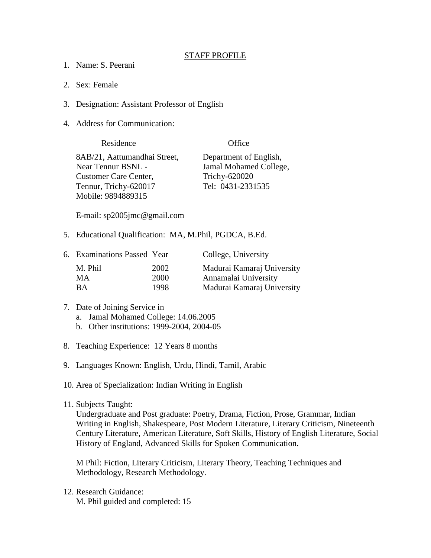## STAFF PROFILE

- 1. Name: S. Peerani
- 2. Sex: Female
- 3. Designation: Assistant Professor of English
- 4. Address for Communication:

| Residence                    | Office                 |
|------------------------------|------------------------|
| 8AB/21, Aattumandhai Street, | Department of English, |
| <b>Near Tennur BSNL -</b>    | Jamal Mohamed College, |
| <b>Customer Care Center,</b> | Trichy-620020          |
| Tennur, Trichy-620017        | Tel: 0431-2331535      |
| Mobile: 9894889315           |                        |

E-mail: sp2005jmc@gmail.com

5. Educational Qualification: MA, M.Phil, PGDCA, B.Ed.

| 6. Examinations Passed Year |      | College, University        |
|-----------------------------|------|----------------------------|
| M. Phil                     | 2002 | Madurai Kamaraj University |
| MА                          | 2000 | Annamalai University       |
| <b>BA</b>                   | 1998 | Madurai Kamaraj University |

- 7. Date of Joining Service in
	- a. Jamal Mohamed College: 14.06.2005
	- b. Other institutions: 1999-2004, 2004-05
- 8. Teaching Experience: 12 Years 8 months
- 9. Languages Known: English, Urdu, Hindi, Tamil, Arabic
- 10. Area of Specialization: Indian Writing in English
- 11. Subjects Taught:

Undergraduate and Post graduate: Poetry, Drama, Fiction, Prose, Grammar, Indian Writing in English, Shakespeare, Post Modern Literature, Literary Criticism, Nineteenth Century Literature, American Literature, Soft Skills, History of English Literature, Social History of England, Advanced Skills for Spoken Communication.

M Phil: Fiction, Literary Criticism, Literary Theory, Teaching Techniques and Methodology, Research Methodology.

12. Research Guidance: M. Phil guided and completed: 15